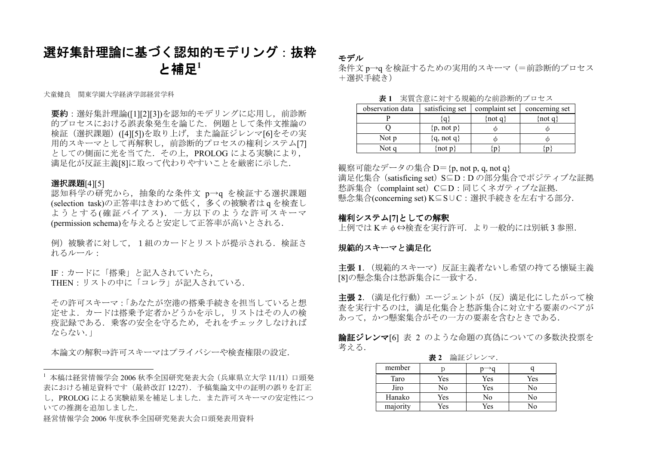## 選好集計理論に基づく認知的モデリング:抜粋と補足 $1$

犬童健良 関東学園大学経済学部経営学科

要約:選好集計理論([1][2][3])を認知的モデリングに応用し、前診断 的プロセスにおける誤表象発生を論じた.例題として条件文推論の 検証(選択課題)([4][5])を取り上げ,また論証ジレンマ[6]をその実 用的スキーマとして再解釈し,前診断的プロセスの権利システム[7]としての側面に光を当てた.その上,PROLOG による実験により,<br>#FI 仏が巨打さ巻5017氏 て代われやホレことも光常客に示した 満足化が反証主義[8]に取って代わりやすいことを厳密に示した.

### 選択課題[4][5]

認知科学の研究から,抽象的な条件文 p→q を検証する選択課題 (selection task)の正答率はきわめて低く,多くの被験者はq を検査し ようとする(確証バイアス).一方以下のような許可スキーマ(permission schema)を与えると安定して正答率が高いとされる.

例)被験者に対して,1組のカードとリストが提示される.検証されるルール:

IF:カードに「搭乗」と記入されていたら,THEN:リストの中に「コレラ」が記入されている.

その許可スキーマ:「あなたが空港の搭乗手続きを担当していると想 定せよ.カードは搭乗予定者かどうかを示し,リストはその人の検 疫記録である.乗客の安全を守るため,それをチェックしなければならない.」

本論文の解釈⇒許可スキーマはプライバシーや検査権限の設定.

経営情報学会 <sup>2006</sup> 年度秋季全国研究発表大会口頭発表用資料

モデル

条件文 p→q を検証するための実用的スキーマ(=前診断的プロセス<br>・・・・・・・・・ +選択手続き)

| 表1 実質含意に対する規範的な前診断的プロセス                               |  |
|-------------------------------------------------------|--|
| rvation data estisficing set complaint set concerning |  |

| observation data | satisficing set | complaint set                             | concerning set |
|------------------|-----------------|-------------------------------------------|----------------|
|                  |                 | $\left( \text{not } \mathfrak{q} \right)$ | (not q)        |
|                  | $\{p, not p\}$  |                                           |                |
| Not p            | ${q, not q}$    |                                           |                |
| Not a            | not $p$         |                                           |                |

観察可能なデータの集合D={p, not p, q, not q} 満足化集合(satisficing set)S⊆D : D の部分集合でポジティブな証拠<br>私話集合( → しょく)S⊆D、冒じくさざ言、ゴな話物 愁訴集合(complaint set)C⊆D : 同じくネガティブな証拠. 懸念集合(concerning set) K⊆S∪C:選択手続きを左右する部分.

### 権利システム[7]としての解釈

上例ではK≠φ⇔検査を実行許可.より一般的には別紙 <sup>3</sup> 参照.

### 規範的スキーマと満足化

**主張 1**. (規範的スキーマ)反証主義者ないし希望の持てる懐疑主義<br>[8]の縣令隼合け秋訴隼合に一致する [8]の懸念集合は愁訴集合に一致する.

**主張 2**. (満足化行動)エージェントが(反)満足化にしたがって検 査を実行するのは,満足化集合と愁訴集合に対立する要素のペアがあって、かつ懸案集合がその一方の要素を含むときである.

**論証ジレンマ**[6] 表 2 のような命題の真偽についての多数決投票を 考える.

**表2** 論証ジレンマ.<br>――――――――――――――――――――――――――――

| member   |     |     |     |
|----------|-----|-----|-----|
| Taro     | Yes | Yes | Yes |
| Jiro     | No  | Yes | No  |
| Hanako   | Yes | No  | No  |
| majority | Yes | Yes | No  |

<sup>&</sup>lt;sup>1</sup> 本稿は経営情報学会 2006 秋季全国研究発表大会 (兵庫県立大学 11/11) 口頭発<br>まにおける補足資料です(是終改訂 12/27)、予稿焦診立中の証明の誤りを訂正 表における補足資料です(最終改訂 12/27).予稿集論文中の証明の誤りを訂正<br>Ⅰ PPOLOG による実験結果を補足しました。また許可スキーマの安定性に< し, PROLOG による実験結果を補足しました. また許可スキーマの安定性につ いての推測を追加しました.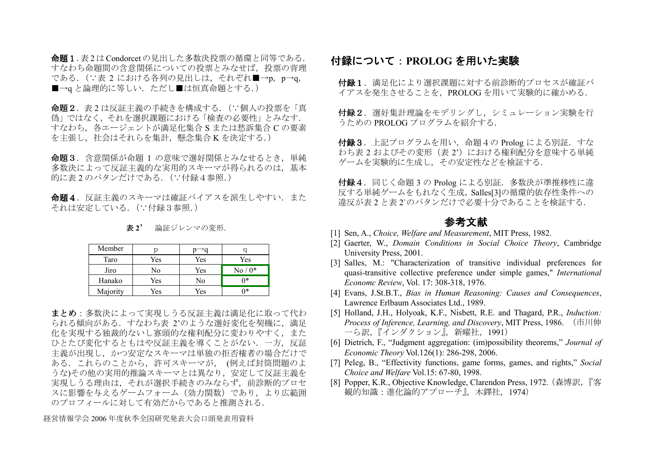命題1.表2はCondorcetの見出した多数決投票の循環と同等である.すなわち命題間の含意関係についての投票とみなせば,投票の背理 である. (∵表 2 における各列の見出しは,それぞれ■→p, p→q,<br>— ■→q と論理的に等しい.ただし■は恒真命題とする.)

**命題2**. 表2は反証主義の手続きを構成する. (∵個人の投票を「真 偽」ではなく,それを選択課題における「検査の必要性」とみなす.すなわち,各エージェントが満足化集合 S または愁訴集合 C の要素<br>ささましょしへいるよう気も、駆り焦へ x され広士る を主張し,社会はそれらを集計,懸念集合 K を決定する.)<br>ー

**命題3.**含意関係が命題 1 の意味で選好関係とみなせるとき,単純<br>多数決によって反証主義的た実用的スキーマが得られろのけ、基木 多数決によって反証主義的な実用的スキーマが得られるのは、基本 的に表2 のパタンだけである.(∵付録4参照.)

**命題4**. 反証主義のスキーマは確証バイアスを派生しやすい. また それは安定している. (∵付録3参照.)

| Member   | Ď   |     |                       |
|----------|-----|-----|-----------------------|
| Taro     | Yes | Yes | Yes                   |
| Jiro     | No  | Yes | $\mathrm{No}$ / $0^*$ |
| Hanako   | Yes | No  | ∩*                    |
| Majority | Yes | Yes | ∩*                    |

未 2' 論証ジレンマの変形.

まとめ:多数決によって実現しうる反証主義は満足化に取って代わ られる傾向がある. すなわち表 2'のような選好変化を契機に, 満足<br>Ikを実現する独裁的かいし寡頭的か権利配分に変わりやすく、また 化を実現する独裁的ないし寡頭的な権利配分に変わりやすく,また ひとたび変化するともはや反証主義を導くことがない.一方,反証 主義が出現し,かつ安定なスキーマは単独の拒否権者の場合だけで ある.これらのことから,許可スキーマが, (例えば封筒問題のよ うな)その他の実用的推論スキーマとは異なり,安定して反証主義を 実現しうる理由は,それが選択手続きのみならず,前診断的プロセ スに影響を与えるゲームフォーム(効力関数)であり,より広範囲のプロフィールに対して有効だからであると推測される.

経営情報学会 <sup>2006</sup> 年度秋季全国研究発表大会口頭発表用資料

# 付録について:PROLOG を用いた実験

**付録1**.満足化により選択課題に対する前診断的プロセスが確証バ イアスを発生させることを,PROLOG を用いて実験的に確かめる.

**付録2**.選好集計理論をモデリングし,シミュレーション実験を行<br>うための PROLOG プログラムを紹介する うための PROLOG プログラムを紹介する.

**付録3.**上記プログラムを用い,命題4の Prolog による別証.すな<br>わち妻 2 お上びその変形(表 2')におけろ権利配分を音味する単純 わち表 2 およびその変形(表 2')における権利配分を意味する単純<br>ゲームを実験的に生成し、その安定性かどを検証する ゲームを実験的に生成し,その安定性などを検証する.

付録4.同じく命題 3 の Prolog による別証.多数決が準推移性に違<br>反する単純ゲームをもれたく生成 - Salles[3]の循環的依存性条件への 反する単純ゲームをもれなく生成,Salles[3]の循環的依存性条件への違反が表2 と表 2`のパタンだけで必要十分であることを検証する.

## 参考文献

- [1] Sen, A., Choice, Welfare and Measurement, MIT Press, 1982.
- [2] Gaerter, W., Domain Conditions in Social Choice Theory, Cambridge University Press, 2001.
- [3] Salles, M.: "Characterization of transitive individual preferences for quasi-transitive collective preference under simple games," International Economc Review, Vol. 17: 308-318, 1976.
- [4] Evans, J.St.B.T., Bias in Human Reasoning: Causes and Consequences, Lawrence Erlbaum Associates Ltd., 1989.
- [5] Holland, J.H., Holyoak, K.F., Nisbett, R.E. and Thagard, P.R., Induction: Process of Inference, Learning, and Discovery, MIT Press, 1986. (市川伸一ら訳,『インダクション』,新曜社,1991)
- [6] Dietrich, F., "Judgment aggregation: (im)possibility theorems," Journal of Economic Theory Vol.126(1): 286-298, 2006.
- [7] Peleg, B., "Effectivity functions, game forms, games, and rights," Social Choice and Welfare Vol.15: 67-80, 1998.
- [8] Popper, K.R., Objective Knowledge, Clarendon Press, 1972.(森博訳,『客観的知識:進化論的アプローチ』,木鐸社,1974)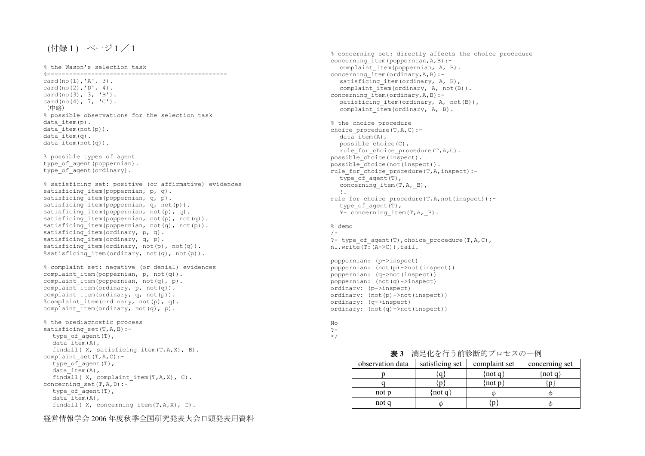## (付録1) ページ1/1

% the Wason's selection task %------------------------------------------------ card(no(1),'A', 3). card(no(2),'D', 4). card(no(3), 3, 'B'). card(no(4), 7, 'C'). (中略) % possible observations for the selection task data item(p). data\_item(not(p)).  $data$  item(q). data\_item(not(q)). % possible types of agent type of agent(poppernian). type of agent (ordinary). % satisficing set: positive (or affirmative) evidences satisficing item(poppernian, p, q). satisficing\_item(poppernian, q, p). satisficing\_item(poppernian, q, not(p)). satisficing\_item(poppernian, not(p), q). satisficing\_item(poppernian, not(p), not(q)). satisficing\_item(poppernian, not(q), not(p)). satisficing item(ordinary, p, q). satisficing\_item(ordinary, q, p). satisficing\_item(ordinary, not(p), not(q)). %satisficing item(ordinary, not(q), not(p)). % complaint set: negative (or denial) evidences complaint item(poppernian, p, not(q)). complaint\_item(poppernian, not(q), p). complaint item(ordinary,  $p$ , not(q)). complaint\_item(ordinary, q, not(p)). %complaint item(ordinary, not(p), q). complaint  $\overline{1}$ tem(ordinary, not(q), p). % the prediagnostic process satisficing set(T,A,B):type of  $aqent(T)$ ,  $data$  item(A), findall( X, satisficing\_item(T,A,X), B). complaint  $set(T,A,C):$ type of  $a$ gent(T),  $data$  item(A), findall( X, complaint item(T,A,X), C). concerning set(T,A,D):type of  $aqent(T)$ , data\_item(A), findall( X, concerning item(T,A,X), D).

% concerning set: directly affects the choice procedure concerning item(poppernian, A, B):- complaint\_item(poppernian, A, B). concerning  $item(ordinary, A, B)$ :- satisficing\_item(ordinary, A, B), complaint\_item(ordinary, A, not(B)). concerning  $item(ordinary, A, B)$ :- satisficing\_item(ordinary, A, not(B)), complaint item(ordinary,  $A$ , B). % the choice procedure choice\_procedure(T,A,C):  $data$  item(A), possible\_choice(C), rule\_for\_choice\_procedure(T,A,C). possible\_choice(inspect). possible\_choice(not(inspect)). rule\_for\_choice\_procedure(T,A,inspect): type of  $aqent(T)$ , concerning\_item(T,A,\_B), !. rule\_for\_choice\_procedure(T,A,not(inspect)): type of  $aqent(T)$ , ¥+ concerning\_item(T,A,\_B). % demo /\*

 ?- type\_of\_agent(T),choice\_procedure(T,A,C), nl, write $(T:(A->C))$ , fail.

poppernian: (p->inspect) poppernian: (not(p)->not(inspect)) poppernian: (q->not(inspect)) poppernian: (not(q)->inspect) ordinary: (p->inspect) ordinary: (not(p)->not(inspect)) ordinary: (q->inspect) ordinary: (not(q)->not(inspect))

No ?- \*/

| 表3               |                 | 満足化を行う前診断的プロセスの一例 |                |
|------------------|-----------------|-------------------|----------------|
| observation data | satisficing set | complaint set     | concerning set |
|                  |                 | $\{not\ q\}$      | {not q}        |
|                  |                 | $\{not\ p\}$      |                |
| not p            | $\{not\ q\}$    |                   |                |
| not q            |                 |                   |                |
|                  |                 |                   |                |

経営情報学会 <sup>2006</sup> 年度秋季全国研究発表大会口頭発表用資料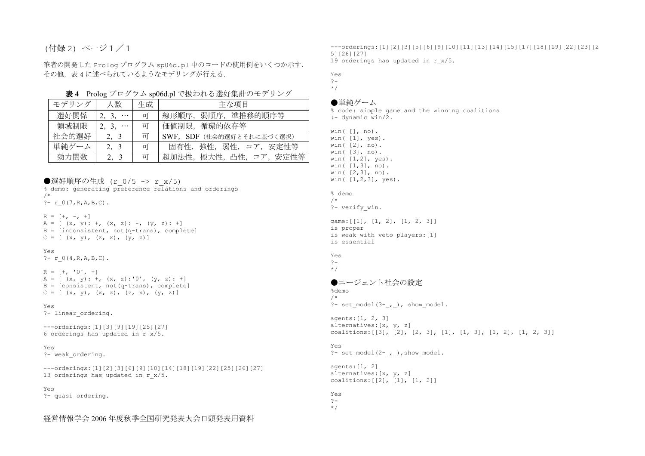## (付録 2) ページ1/1

筆者の開発した Prolog プログラム sp06d.pl 中のコードの使用例をいくつか示す.<br>その他、書 4 に述べられているとらわエデリングが行きる その他, 表 4 に述べられているようなモデリングが行える.<br>-

表 <sup>4</sup> Prolog プログラム sp06d.pl で扱われる選好集計のモデリング

| モデリング | 人数                | 生成       | 主な項目                      |
|-------|-------------------|----------|---------------------------|
| 選好関係  | 2, 3,<br>$\cdots$ | 可        | 線形順序, 弱順序, 準推移的順序等        |
| 領域制限  | $\cdots$          | 可        | 価値制限, 循環的依存等              |
| 社会的選好 | 2, 3              | न        | SWF, SDF (社会的選好とそれに基づく選択) |
| 単純ゲーム | 2, 3              | <u>ा</u> | 強性、弱性、コア、安定性等<br>固有性.     |
| 効力関数  |                   | र्मा     | 超加法性、極大性、凸性、コア、安定性等       |
|       |                   |          |                           |

●選好順序の生成 (r 0/5 -> r x/5)

| % demo: generating preference relations and orderings<br>$/$ *                                               |
|--------------------------------------------------------------------------------------------------------------|
| $?- r 0(7, R, A, B, C).$                                                                                     |
| $R = [+, -, +]$<br>$A = [ (x, y): +, (x, z): -, (y, z): + ]$<br>$B = [inconsistent, not(q-trans), complete]$ |
| $C = [ (x, y), (z, x), (y, z) ]$                                                                             |

### Yes

?- r\_0(4,R,A,B,C).

 $R = [+, '0', +]$  A = [ (x, y): +, (x, z):'0', (y, z): +] B = [consistent, not(q-trans), complete]  $C = [ (x, y), (x, z), (z, x), (y, z) ]$ 

### Yes

?- linear\_ordering.

---orderings:[1][3][9][19][25][27] 6 orderings has updated in r\_x/5.

#### Yes

?- weak\_ordering.

---orderings:[1][2][3][6][9][10][14][18][19][22][25][26][27] 13 orderings has updated in r\_x/5.

### Yes

?- quasi\_ordering.

## 経営情報学会 <sup>2006</sup> 年度秋季全国研究発表大会口頭発表用資料

---orderings:[1][2][3][5][6][9][10][11][13][14][15][17][18][19][22][23][25][26][27] 19 orderings has updated in r\_x/5.

Yes ?-

\*/

### ●単純ゲーム

 % code: simple game and the winning coalitions :- dynamic win/2.

win( [], no). win( [1], yes). win( [2], no). win( [3], no). win( [1,2], yes). win( [1,3], no). win( [2,3], no). win( [1,2,3], yes). % demo /\* ?- verify\_win. game:[[1], [1, 2], [1, 2, 3]] is proper is weak with veto players:[1] is essential Yes ?- \*/ ●エージェント社会の設定%demo /\* ?- set\_model(3-\_,\_), show\_model. agents:[1, 2, 3] alternatives:[x, y, z] coalitions:[[3], [2], [2, 3], [1], [1, 3], [1, 2], [1, 2, 3]] Yes ?- set\_model(2-\_,\_),show\_model. agents:[1, 2] coalitions:[[2], [1], [1, 2]]

## \*/

alternatives:[x, y, z]

### Yes ?-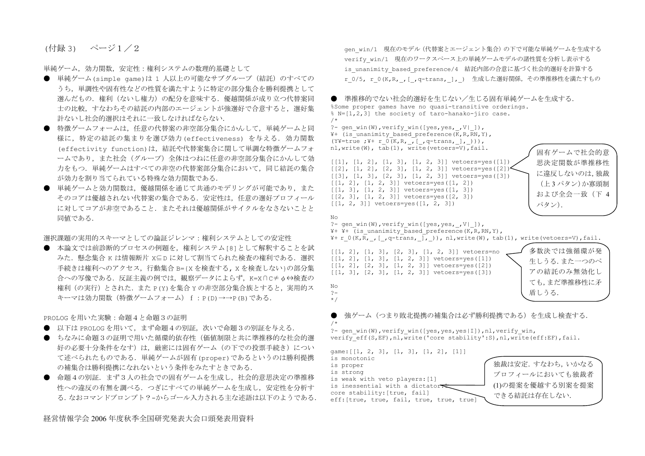(付録 3) ページ1/2

単純ゲーム,効力関数,安定性:権利システムの数理的基礎として

- 単純ゲーム(simple game)は 1 人以上の可能なサブグループ (結託) のすべての<br>- ミナ、 当理歴を原右歴とどの歴度も滞れ合わらに乾ウの望ハ焦へと呼び埋壊した うち,単調性や固有性などの性質を満たすように特定の部分集合を勝利提携として 選んだもの.権利(ないし権力)の配分を意味する.優越関係が成り立つ代替案同士の比較,すなわちその結託の内部のエージェントが強選好で合意すると,選好集 計ないし社会的選択はそれに一致しなければならない.
- 特徴ゲームフォームは,任任意の代替案の非空部分集合にかんして,単純ゲームと同 様に,特定の結託の集まりを選び効力(effectiveness) を与える.効力関数 (effectivity function)は,結託や代替案集合に関して単調な特徴ゲームフォ ームであり,また社会(グループ)全体はつねに任意の非空部分集合にかんして効 力をもつ.単純ゲームはすべての非空の代替案部分集合において,同じ結託の集合が効力を割り当てられている特殊な効力関数である.
- 単純ゲームと効力関数は,優越関係を通じて共通のモデリングが可能であり,また そのコアは優越されない代替案の集合である.安定性は,任意の選好プロフィール に対してコアが非空であること.またそれは優越関係がサイクルをなさないことと同値である.

選択課題の実用的スキーマとしての論証ジレンマ:権利システムとしての安定性

 ● 本論文では前診断的プロセスの例題を,権利システム[8]として解釈することを試みた.懸念集合 K は情報断片 X⊆D に対して割当てられた検査の権利である.選択 手続きは権利へのアクセス,行動集合 B={X を検査する, X を検査しない}の部分集<br>へ、の写像デキス、Uitt 社営の例では、智室ご、カストミギ、H : O o / + / itなの 合への写像である. 反証主義の例では,観察データによらず,K=X∩c≠φ⇔検査の 権利(の実行)とされた.また P(Y)を集合 Y の非空部分集合族とすると,実用的スキーマは効力関数(特徴ゲームフォーム)f:P(D)→→P(B)である.

PROLOG を用いた実験:命題4と命題3の証明

- 以下は PROLOG を用いて,まず命題4の別証,次いで命題3の別証を与える.<br>● \*かひに合照2の証明で思いた毎週的仕方性(灰乾型限し共に準堆移的か払
- ちなみに命題3の証明で用いた循環的依存性(価値制限と共に準推移的な社会的選好の必要十分条件をなす)は,厳密には固有ゲーム(の下での投票手続き)につい て述べられたものである.単純ゲームが固有(proper)であるというのは勝利提携の補集合は勝利提携になれないという条件をみたすときである.
- 命題4の別証. まず3人の社会での固有ゲームを生成し, 社会的意思決定の準推移 性への違反の有無を調べる.つぎにすべての単純ゲームを生成し,安定性を分析する.なおコマンドプロンプト?-からゴール入力される主な述語は以下のようである.

gen\_win/1 現在のモデル(代替案とエージェント集合)の下で可能な単純ゲームを生成する verify\_win/1 現在のワークスペース上の単純ゲームモデルの諸性質を分析し表示する is\_unanimity\_based\_preference/4 結託内部の合意に基づく社会的選好を計算するr\_0/5, r\_0(K,R,\_,[\_,q-trans,\_],\_) 生成した選好関係,その準推移性を満たすもの



できる結託は存在しない.

eff:[true, true, fail, true, true, true]

経営情報学会 <sup>2006</sup> 年度秋季全国研究発表大会口頭発表用資料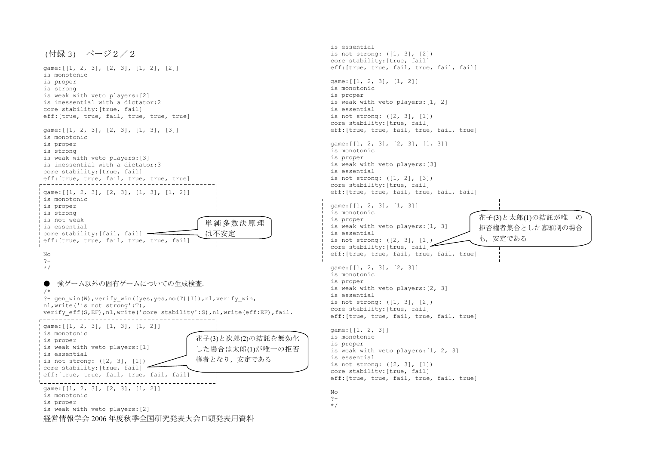